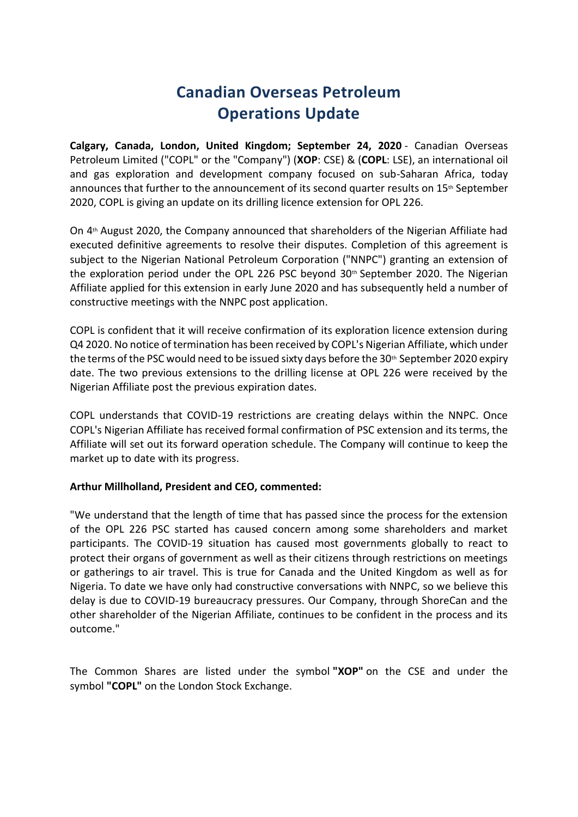# **Canadian Overseas Petroleum Operations Update**

**Calgary, Canada, London, United Kingdom; September 24, 2020** - Canadian Overseas Petroleum Limited ("COPL" or the "Company") (**XOP**: CSE) & (**COPL**: LSE), an international oil and gas exploration and development company focused on sub-Saharan Africa, today announces that further to the announcement of its second quarter results on 15<sup>th</sup> September 2020, COPL is giving an update on its drilling licence extension for OPL 226.

On 4th August 2020, the Company announced that shareholders of the Nigerian Affiliate had executed definitive agreements to resolve their disputes. Completion of this agreement is subject to the Nigerian National Petroleum Corporation ("NNPC") granting an extension of the exploration period under the OPL 226 PSC beyond  $30<sup>th</sup>$  September 2020. The Nigerian Affiliate applied for this extension in early June 2020 and has subsequently held a number of constructive meetings with the NNPC post application.

COPL is confident that it will receive confirmation of its exploration licence extension during Q4 2020. No notice of termination has been received by COPL's Nigerian Affiliate, which under the terms of the PSC would need to be issued sixty days before the  $30<sup>th</sup>$  September 2020 expiry date. The two previous extensions to the drilling license at OPL 226 were received by the Nigerian Affiliate post the previous expiration dates.

COPL understands that COVID-19 restrictions are creating delays within the NNPC. Once COPL's Nigerian Affiliate has received formal confirmation of PSC extension and its terms, the Affiliate will set out its forward operation schedule. The Company will continue to keep the market up to date with its progress.

## **Arthur Millholland, President and CEO, commented:**

"We understand that the length of time that has passed since the process for the extension of the OPL 226 PSC started has caused concern among some shareholders and market participants. The COVID-19 situation has caused most governments globally to react to protect their organs of government as well as their citizens through restrictions on meetings or gatherings to air travel. This is true for Canada and the United Kingdom as well as for Nigeria. To date we have only had constructive conversations with NNPC, so we believe this delay is due to COVID-19 bureaucracy pressures. Our Company, through ShoreCan and the other shareholder of the Nigerian Affiliate, continues to be confident in the process and its outcome."

The Common Shares are listed under the symbol **"XOP"** on the CSE and under the symbol **"COPL"** on the London Stock Exchange.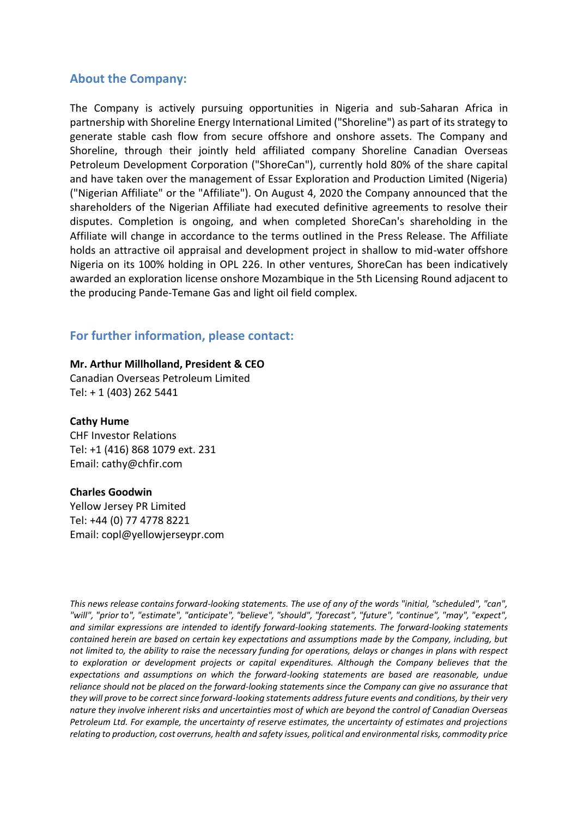## **About the Company:**

The Company is actively pursuing opportunities in Nigeria and sub-Saharan Africa in partnership with Shoreline Energy International Limited ("Shoreline") as part of its strategy to generate stable cash flow from secure offshore and onshore assets. The Company and Shoreline, through their jointly held affiliated company Shoreline Canadian Overseas Petroleum Development Corporation ("ShoreCan"), currently hold 80% of the share capital and have taken over the management of Essar Exploration and Production Limited (Nigeria) ("Nigerian Affiliate" or the "Affiliate"). On August 4, 2020 the Company announced that the shareholders of the Nigerian Affiliate had executed definitive agreements to resolve their disputes. Completion is ongoing, and when completed ShoreCan's shareholding in the Affiliate will change in accordance to the terms outlined in the Press Release. The Affiliate holds an attractive oil appraisal and development project in shallow to mid-water offshore Nigeria on its 100% holding in OPL 226. In other ventures, ShoreCan has been indicatively awarded an exploration license onshore Mozambique in the 5th Licensing Round adjacent to the producing Pande-Temane Gas and light oil field complex.

## **For further information, please contact:**

#### **Mr. Arthur Millholland, President & CEO**

Canadian Overseas Petroleum Limited Tel: + 1 (403) 262 5441

### **Cathy Hume**

CHF Investor Relations Tel: +1 (416) 868 1079 ext. 231 Email: cathy@chfir.com

#### **Charles Goodwin**

Yellow Jersey PR Limited Tel: +44 (0) 77 4778 8221 Email: copl@yellowjerseypr.com

*This news release contains forward-looking statements. The use of any of the words "initial, "scheduled", "can", "will", "prior to", "estimate", "anticipate", "believe", "should", "forecast", "future", "continue", "may", "expect", and similar expressions are intended to identify forward-looking statements. The forward-looking statements contained herein are based on certain key expectations and assumptions made by the Company, including, but not limited to, the ability to raise the necessary funding for operations, delays or changes in plans with respect to exploration or development projects or capital expenditures. Although the Company believes that the expectations and assumptions on which the forward-looking statements are based are reasonable, undue reliance should not be placed on the forward-looking statements since the Company can give no assurance that they will prove to be correct since forward-looking statements address future events and conditions, by their very nature they involve inherent risks and uncertainties most of which are beyond the control of Canadian Overseas Petroleum Ltd. For example, the uncertainty of reserve estimates, the uncertainty of estimates and projections relating to production, cost overruns, health and safety issues, political and environmental risks, commodity price*